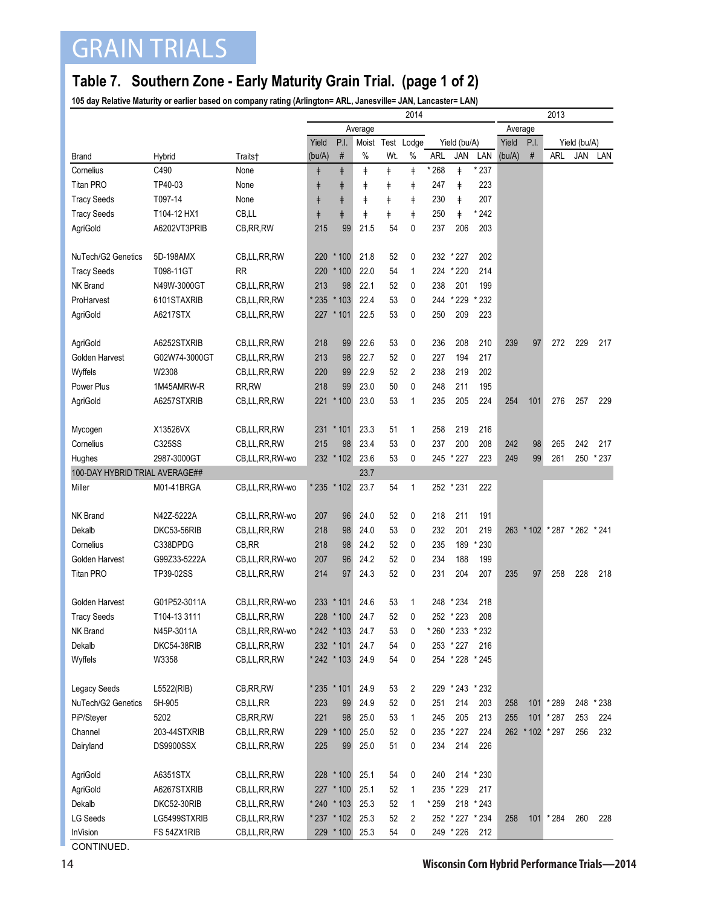## GRAIN TRIALS

## **Table 7. Southern Zone - Early Maturity Grain Trial. (page 1 of 2)**

**105 day Relative Maturity or earlier based on company rating (Arlington= ARL, Janesville= JAN, Lancaster= LAN)**

|                                |               |                | 2014       |                                             |            |            |              |         |                   |           |              | 2013            |                         |     |           |  |
|--------------------------------|---------------|----------------|------------|---------------------------------------------|------------|------------|--------------|---------|-------------------|-----------|--------------|-----------------|-------------------------|-----|-----------|--|
|                                |               |                | Average    |                                             |            |            |              | Average |                   |           |              |                 |                         |     |           |  |
|                                |               |                | Yield      | P.I.<br>Moist Test<br>Lodge<br>Yield (bu/A) |            |            |              | Yield   | P.I.              |           | Yield (bu/A) |                 |                         |     |           |  |
| <b>Brand</b>                   | Hybrid        | Traits†        | (bu/A)     | $\#$                                        | %          | Wt.        | %            | ARL     | <b>JAN</b>        | LAN       | (bu/A)       | $\#$            | ARL                     | JAN | LAN       |  |
| Cornelius                      | C490          | None           | $\ddagger$ | $\ddagger$                                  | $\ddagger$ | ŧ          | $\ddagger$   | * 268   | $\ddagger$        | * 237     |              |                 |                         |     |           |  |
| <b>Titan PRO</b>               | TP40-03       | None           | $\ddagger$ | $\ddagger$                                  | $\ddagger$ | $\ddagger$ | ŧ            | 247     | $\ddagger$        | 223       |              |                 |                         |     |           |  |
| <b>Tracy Seeds</b>             | T097-14       | None           | $\dagger$  | $\dagger$                                   | ŧ          | $\ddagger$ | $\ddagger$   | 230     | $\ddagger$        | 207       |              |                 |                         |     |           |  |
| <b>Tracy Seeds</b>             | T104-12 HX1   | CB,LL          | $\ddagger$ | $\dagger$                                   | $\ddagger$ | ŧ          | $\dagger$    | 250     | $\ddagger$        | * 242     |              |                 |                         |     |           |  |
| AgriGold                       | A6202VT3PRIB  | CB, RR, RW     | 215        | 99                                          | 21.5       | 54         | 0            | 237     | 206               | 203       |              |                 |                         |     |           |  |
|                                |               |                |            |                                             |            |            |              |         |                   |           |              |                 |                         |     |           |  |
| NuTech/G2 Genetics             | 5D-198AMX     | CB,LL,RR,RW    | 220        | $*100$                                      | 21.8       | 52         | 0            |         | 232 * 227         | 202       |              |                 |                         |     |           |  |
| <b>Tracy Seeds</b>             | T098-11GT     | <b>RR</b>      | 220        | $*100$                                      | 22.0       | 54         | $\mathbf{1}$ | 224     | * 220             | 214       |              |                 |                         |     |           |  |
| NK Brand                       | N49W-3000GT   | CB,LL,RR,RW    | 213        | 98                                          | 22.1       | 52         | 0            | 238     | 201               | 199       |              |                 |                         |     |           |  |
| ProHarvest                     | 6101STAXRIB   | CB,LL,RR,RW    | * 235      | $*103$                                      | 22.4       | 53         | 0            | 244     | * 229             | * 232     |              |                 |                         |     |           |  |
| AgriGold                       | A6217STX      | CB,LL,RR,RW    | 227        | $*101$                                      | 22.5       | 53         | 0            | 250     | 209               | 223       |              |                 |                         |     |           |  |
|                                |               |                |            |                                             |            |            |              |         |                   |           |              |                 |                         |     |           |  |
| AgriGold                       | A6252STXRIB   | CB,LL,RR,RW    | 218        | 99                                          | 22.6       | 53         | 0            | 236     | 208               | 210       | 239          | 97              | 272                     | 229 | 217       |  |
| Golden Harvest                 | G02W74-3000GT | CB,LL,RR,RW    | 213        | 98                                          | 22.7       | 52         | 0            | 227     | 194               | 217       |              |                 |                         |     |           |  |
| Wyffels                        | W2308         | CB,LL,RR,RW    | 220        | 99                                          | 22.9       | 52         | 2            | 238     | 219               | 202       |              |                 |                         |     |           |  |
| Power Plus                     | 1M45AMRW-R    | RR, RW         | 218        | 99                                          | 23.0       | 50         | 0            | 248     | 211               | 195       |              |                 |                         |     |           |  |
| AgriGold                       | A6257STXRIB   | CB,LL,RR,RW    | 221        | $*100$                                      | 23.0       | 53         | 1            | 235     | 205               | 224       | 254          | 101             | 276                     | 257 | 229       |  |
|                                |               |                |            |                                             |            |            |              |         |                   |           |              |                 |                         |     |           |  |
| Mycogen                        | X13526VX      | CB,LL,RR,RW    | 231        | $*101$                                      | 23.3       | 51         | 1            | 258     | 219               | 216       |              |                 |                         |     |           |  |
| Cornelius                      | C325SS        | CB,LL,RR,RW    | 215        | 98                                          | 23.4       | 53         | 0            | 237     | 200               | 208       | 242          | 98              | 265                     | 242 | 217       |  |
| Hughes                         | 2987-3000GT   | CB,LL,RR,RW-wo |            | 232 * 102                                   | 23.6       | 53         | 0            |         | 245 * 227         | 223       | 249          | 99              | 261                     |     | 250 * 237 |  |
| 100-DAY HYBRID TRIAL AVERAGE## |               |                |            |                                             | 23.7       |            |              |         |                   |           |              |                 |                         |     |           |  |
| Miller                         | M01-41BRGA    | CB,LL,RR,RW-wo | * 235      | $*102$                                      | 23.7       | 54         | 1            |         | 252 * 231         | 222       |              |                 |                         |     |           |  |
|                                |               |                |            |                                             |            |            |              |         |                   |           |              |                 |                         |     |           |  |
| NK Brand                       | N42Z-5222A    | CB,LL,RR,RW-wo | 207        | 96                                          | 24.0       | 52         | 0            | 218     | 211               | 191       |              |                 |                         |     |           |  |
| Dekalb                         | DKC53-56RIB   | CB,LL,RR,RW    | 218        | 98                                          | 24.0       | 53         | 0            | 232     | 201               | 219       | 263          |                 | * 102 * 287 * 262 * 241 |     |           |  |
| Cornelius                      | C338DPDG      | CB, RR         | 218        | 98                                          | 24.2       | 52         | 0            | 235     | 189               | *230      |              |                 |                         |     |           |  |
| Golden Harvest                 | G99Z33-5222A  | CB,LL,RR,RW-wo | 207        | 96                                          | 24.2       | 52         | 0            | 234     | 188               | 199       |              |                 |                         |     |           |  |
| <b>Titan PRO</b>               | TP39-02SS     | CB,LL,RR,RW    | 214        | 97                                          | 24.3       | 52         | 0            | 231     | 204               | 207       | 235          | 97              | 258                     | 228 | 218       |  |
|                                |               |                |            |                                             |            |            |              |         |                   |           |              |                 |                         |     |           |  |
| Golden Harvest                 | G01P52-3011A  | CB,LL,RR,RW-wo | 233        | $*101$                                      | 24.6       | 53         | 1            | 248     | * 234             | 218       |              |                 |                         |     |           |  |
| <b>Tracy Seeds</b>             | T104-13 3111  | CB,LL,RR,RW    |            | 228 * 100                                   | 24.7       | 52         | 0            |         | 252 * 223         | 208       |              |                 |                         |     |           |  |
| NK Brand                       | N45P-3011A    | CB,LL,RR,RW-wo |            | * 242 * 103                                 | 24.7       | 53         | 0            |         | * 260 * 233 * 232 |           |              |                 |                         |     |           |  |
| Dekalb                         | DKC54-38RIB   | CB,LL,RR,RW    |            | 232 * 101                                   | 24.7       | 54         | 0            |         | 253 * 227         | 216       |              |                 |                         |     |           |  |
| Wyffels                        | W3358         | CB,LL,RR,RW    |            | * 242 * 103                                 | 24.9       | 54         | 0            |         | 254 * 228 * 245   |           |              |                 |                         |     |           |  |
|                                |               |                |            |                                             |            |            |              |         |                   |           |              |                 |                         |     |           |  |
| <b>Legacy Seeds</b>            | L5522(RIB)    | CB, RR, RW     |            | * 235 * 101                                 | 24.9       | 53         | 2            |         | 229 * 243 * 232   |           |              |                 |                         |     |           |  |
| NuTech/G2 Genetics             | 5H-905        | CB,LL,RR       | 223        | 99                                          | 24.9       | 52         | 0            | 251     | 214               | 203       | 258          |                 | 101 * 289               |     | 248 * 238 |  |
| PiP/Steyer                     | 5202          | CB, RR, RW     | 221        | 98                                          | 25.0       | 53         | 1            | 245     | 205               | 213       | 255          |                 | 101 * 287               | 253 | 224       |  |
| Channel                        | 203-44STXRIB  | CB,LL,RR,RW    | 229        | $*100$                                      | 25.0       | 52         | 0            |         | 235 * 227         | 224       |              | 262 * 102 * 297 |                         | 256 | 232       |  |
| Dairyland                      | DS9900SSX     | CB,LL,RR,RW    | 225        | 99                                          | 25.0       | 51         | 0            | 234     | 214               | 226       |              |                 |                         |     |           |  |
|                                |               |                |            |                                             |            |            |              |         |                   |           |              |                 |                         |     |           |  |
| AgriGold                       | A6351STX      | CB,LL,RR,RW    |            | 228 * 100                                   | 25.1       | 54         | 0            | 240     |                   | 214 * 230 |              |                 |                         |     |           |  |
| AgriGold                       | A6267STXRIB   | CB,LL,RR,RW    |            | 227 * 100                                   | 25.1       | 52         | 1            |         | 235 * 229         | 217       |              |                 |                         |     |           |  |
| Dekalb                         | DKC52-30RIB   | CB,LL,RR,RW    |            | * 240 * 103                                 | 25.3       | 52         | 1            | * 259   |                   | 218 * 243 |              |                 |                         |     |           |  |
| LG Seeds                       | LG5499STXRIB  | CB,LL,RR,RW    |            | * 237 * 102                                 | 25.3       | 52         | 2            |         | 252 * 227 * 234   |           | 258          |                 | 101 * 284               | 260 | 228       |  |
| InVision                       | FS 54ZX1RIB   | CB,LL,RR,RW    |            | 229 * 100                                   | 25.3       | 54         | 0            |         | 249 * 226         | 212       |              |                 |                         |     |           |  |

CONTINUED.